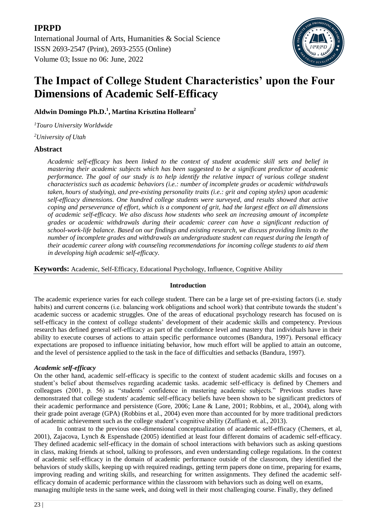

# **The Impact of College Student Characteristics' upon the Four Dimensions of Academic Self-Efficacy**

## **Aldwin Domingo Ph.D.<sup>1</sup> , Martina Krisztina Hollearn<sup>2</sup>**

*<sup>1</sup>Touro University Worldwide*

*<sup>2</sup>University of Utah* 

## **Abstract**

*Academic self-efficacy has been linked to the context of student academic skill sets and belief in mastering their academic subjects which has been suggested to be a significant predictor of academic performance. The goal of our study is to help identify the relative impact of various college student characteristics such as academic behaviors (i.e.: number of incomplete grades or academic withdrawals taken, hours of studying), and pre-existing personality traits (i.e.: grit and coping styles) upon academic self-efficacy dimensions. One hundred college students were surveyed, and results showed that active coping and perseverance of effort, which is a component of grit, had the largest effect on all dimensions of academic self-efficacy. We also discuss how students who seek an increasing amount of incomplete grades or academic withdrawals during their academic career can have a significant reduction of school-work-life balance. Based on our findings and existing research, we discuss providing limits to the number of incomplete grades and withdrawals an undergraduate student can request during the length of their academic career along with counseling recommendations for incoming college students to aid them in developing high academic self-efficacy.*

**Keywords:** Academic, Self-Efficacy, Educational Psychology, Influence, Cognitive Ability

## **Introduction**

The academic experience varies for each college student. There can be a large set of pre-existing factors (i.e. study habits) and current concerns (i.e. balancing work obligations and school work) that contribute towards the student's academic success or academic struggles. One of the areas of educational psychology research has focused on is self-efficacy in the context of college students' development of their academic skills and competency. Previous research has defined general self-efficacy as part of the confidence level and mastery that individuals have in their ability to execute courses of actions to attain specific performance outcomes (Bandura, 1997). Personal efficacy expectations are proposed to influence initiating behavior, how much effort will be applied to attain an outcome, and the level of persistence applied to the task in the face of difficulties and setbacks (Bandura, 1997).

## *Academic self-efficacy*

On the other hand, academic self-efficacy is specific to the context of student academic skills and focuses on a student's belief about themselves regarding academic tasks. academic self-efficacy is defined by Chemers and colleagues (2001, p. 56) as "students' confidence in mastering academic subjects." Previous studies have demonstrated that college students' academic self-efficacy beliefs have been shown to be significant predictors of their academic performance and persistence (Gore, 2006; Lane & Lane, 2001; Robbins, et al., 2004), along with their grade point average (GPA) (Robbins et al., 2004) even more than accounted for by more traditional predictors of academic achievement such as the college student's cognitive ability (Zuffianò et. al., 2013).

In contrast to the previous one-dimensional conceptualization of academic self-efficacy (Chemers, et al, 2001), Zajacova, Lynch & Espenshade (2005) identified at least four different domains of academic self-efficacy. They defined academic self-efficacy in the domain of school interactions with behaviors such as asking questions in class, making friends at school, talking to professors, and even understanding college regulations. In the context of academic self-efficacy in the domain of academic performance outside of the classroom, they identified the behaviors of study skills, keeping up with required readings, getting term papers done on time, preparing for exams, improving reading and writing skills, and researching for written assignments. They defined the academic selfefficacy domain of academic performance within the classroom with behaviors such as doing well on exams, managing multiple tests in the same week, and doing well in their most challenging course. Finally, they defined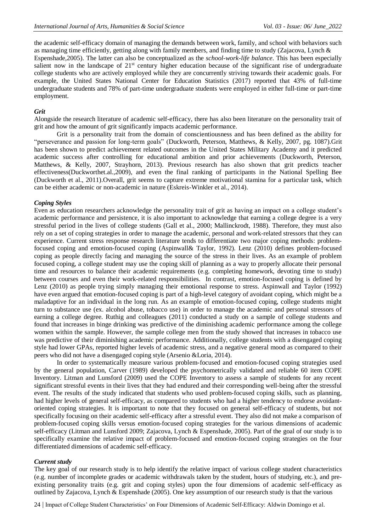the academic self-efficacy domain of managing the demands between work, family, and school with behaviors such as managing time efficiently, getting along with family members, and finding time to study (Zajacova, Lynch &

Espenshade,2005). The latter can also be conceptualized as the *school-work-life balance.* This has been especially salient now in the landscape of 21<sup>st</sup> century higher education because of the significant rise of undergraduate college students who are actively employed while they are concurrently striving towards their academic goals. For example, the United States National Center for Education Statistics (2017) reported that 43% of full-time undergraduate students and 78% of part-time undergraduate students were employed in either full-time or part-time employment.

## *Grit*

Alongside the research literature of academic self-efficacy, there has also been literature on the personality trait of grit and how the amount of grit significantly impacts academic performance.

Grit is a personality trait from the domain of conscientiousness and has been defined as the ability for "perseverance and passion for long-term goals" (Duckworth, Peterson, Matthews, & Kelly, 2007, pg. 1087).Grit has been shown to predict achievement related outcomes in the United States Military Academy and it predicted academic success after controlling for educational ambition and prior achievements (Duckworth, Peterson, Matthews, & Kelly, 2007, Strayhorn, 2013). Previous research has also shown that grit predicts teacher effectiveness(Duckworthet.al.,2009), and even the final ranking of participants in the National Spelling Bee (Duckworth et al., 2011).Overall, grit seems to capture extreme motivational stamina for a particular task, which can be either academic or non-academic in nature (Eskreis-Winkler et al., 2014).

## *Coping Styles*

Even as education researchers acknowledge the personality trait of grit as having an impact on a college student's academic performance and persistence, it is also important to acknowledge that earning a college degree is a very stressful period in the lives of college students (Gall et al., 2000; Mallinckrodt, 1988). Therefore, they must also rely on a set of coping strategies in order to manage the academic, personal and work-related stressors that they can experience. Current stress response research literature tends to differentiate two major coping methods: problemfocused coping and emotion-focused coping (Aspinwall& Taylor, 1992). Lenz (2010) defines problem-focused coping as people directly facing and managing the source of the stress in their lives. As an example of problem focused coping, a college student may use the coping skill of planning as a way to properly allocate their personal time and resources to balance their academic requirements (e.g. completing homework, devoting time to study) between courses and even their work-related responsibilities. In contrast, emotion-focused coping is defined by Lenz (2010) as people trying simply managing their emotional response to stress. Aspinwall and Taylor (1992) have even argued that emotion-focused coping is part of a high-level category of avoidant coping, which might be a maladaptive for an individual in the long run. As an example of emotion-focused coping, college students might turn to substance use (ex. alcohol abuse, tobacco use) in order to manage the academic and personal stressors of earning a college degree. Ruthig and colleagues (2011) conducted a study on a sample of college students and found that increases in binge drinking was predictive of the diminishing academic performance among the college women within the sample. However, the sample college men from the study showed that increases in tobacco use was predictive of their diminishing academic performance. Additionally, college students with a disengaged coping style had lower GPAs, reported higher levels of academic stress, and a negative general mood as compared to their peers who did not have a disengaged coping style (Arsenio &Loria, 2014).

In order to systematically measure various problem-focused and emotion-focused coping strategies used by the general population, Carver (1989) developed the psychometrically validated and reliable 60 item COPE Inventory. Litman and Lunsford (2009) used the COPE Inventory to assess a sample of students for any recent significant stressful events in their lives that they had endured and their corresponding well-being after the stressful event. The results of the study indicated that students who used problem-focused coping skills, such as planning, had higher levels of general self-efficacy, as compared to students who had a higher tendency to endorse avoidantoriented coping strategies. It is important to note that they focused on general self-efficacy of students, but not specifically focusing on their academic self-efficacy after a stressful event. They also did not make a comparison of problem-focused coping skills versus emotion-focused coping strategies for the various dimensions of academic self-efficacy (Litman and Lunsford 2009; Zajacova, Lynch & Espenshade, 2005). Part of the goal of our study is to specifically examine the relative impact of problem-focused and emotion-focused coping strategies on the four differentiated dimensions of academic self-efficacy.

#### *Current study*

The key goal of our research study is to help identify the relative impact of various college student characteristics (e.g. number of incomplete grades or academic withdrawals taken by the student, hours of studying, etc.), and preexisting personality traits (e.g. grit and coping styles) upon the four dimensions of academic self-efficacy as outlined by Zajacova, Lynch & Espenshade (2005). One key assumption of our research study is that the various

24 | Impact of College Student Characteristics' on Four Dimensions of Academic Self-Efficacy: Aldwin Domingo et al.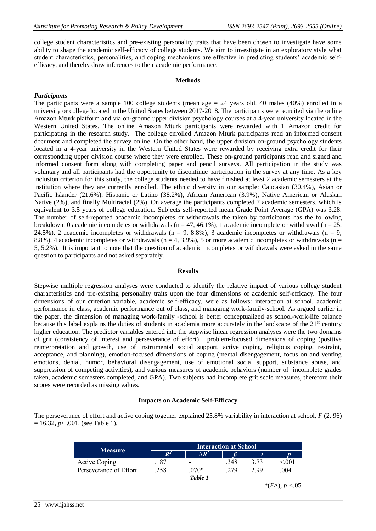college student characteristics and pre-existing personality traits that have been chosen to investigate have some ability to shape the academic self-efficacy of college students. We aim to investigate in an exploratory style what student characteristics, personalities, and coping mechanisms are effective in predicting students' academic selfefficacy, and thereby draw inferences to their academic performance.

## **Methods**

## *Participants*

The participants were a sample 100 college students (mean age  $= 24$  years old, 40 males (40%) enrolled in a university or college located in the United States between 2017-2018. The participants were recruited via the online Amazon Mturk platform and via on-ground upper division psychology courses at a 4-year university located in the Western United States. The online Amazon Mturk participants were rewarded with 1 Amazon credit for participating in the research study. The college enrolled Amazon Mturk participants read an informed consent document and completed the survey online. On the other hand, the upper division on-ground psychology students located in a 4-year university in the Western United States were rewarded by receiving extra credit for their corresponding upper division course where they were enrolled. These on-ground participants read and signed and informed consent form along with completing paper and pencil surveys. All participation in the study was voluntary and all participants had the opportunity to discontinue participation in the survey at any time. As a key inclusion criterion for this study, the college students needed to have finished at least 2 academic semesters at the institution where they are currently enrolled. The ethnic diversity in our sample: Caucasian (30.4%), Asian or Pacific Islander (21.6%), Hispanic or Latino (38.2%), African American (3.9%), Native American or Alaskan Native (2%), and finally Multiracial (2%). On average the participants completed 7 academic semesters, which is equivalent to 3.5 years of college education. Subjects self-reported mean Grade Point Average (GPA) was 3.28. The number of self-reported academic incompletes or withdrawals the taken by participants has the following breakdown: 0 academic incompletes or withdrawals ( $n = 47, 46.1\%$ ), 1 academic incomplete or withdrawal ( $n = 25$ , 24.5%), 2 academic incompletes or withdrawals ( $n = 9, 8.8$ %), 3 academic incompletes or withdrawals ( $n = 9$ , 8.8%), 4 academic incompletes or withdrawals ( $n = 4, 3.9$ %), 5 or more academic incompletes or withdrawals ( $n = 1$ ) 5, 5.2%). It is important to note that the question of academic incompletes or withdrawals were asked in the same question to participants and not asked separately.

## **Results**

Stepwise multiple regression analyses were conducted to identify the relative impact of various college student characteristics and pre-existing personality traits upon the four dimensions of academic self-efficacy. The four dimensions of our criterion variable, academic self-efficacy, were as follows: interaction at school, academic performance in class, academic performance out of class, and managing work-family-school. As argued earlier in the paper, the dimension of managing work-family -school is better conceptualized as school-work-life balance because this label explains the duties of students in academia more accurately in the landscape of the  $21<sup>st</sup>$  century higher education. The predictor variables entered into the stepwise linear regression analyses were the two domains of grit (consistency of interest and perseverance of effort), problem-focused dimensions of coping (positive reinterpretation and growth, use of instrumental social support, active coping, religious coping, restraint, acceptance, and planning), emotion-focused dimensions of coping (mental disengagement, focus on and venting emotions, denial, humor, behavioral disengagement, use of emotional social support, substance abuse, and suppression of competing activities), and various measures of academic behaviors (number of incomplete grades taken, academic semesters completed, and GPA). Two subjects had incomplete grit scale measures, therefore their scores were recorded as missing values.

## **Impacts on Academic Self-Efficacy**

The perseverance of effort and active coping together explained 25.8% variability in interaction at school, *F* (2, 96)  $= 16.32, p < .001.$  (see Table 1).

| <b>Measure</b>         | <b>Interaction at School</b> |                          |     |      |                |  |
|------------------------|------------------------------|--------------------------|-----|------|----------------|--|
|                        | $\bm{R}^2$                   | $\triangle R^2$          |     |      |                |  |
| <b>Active Coping</b>   | 187                          | $\overline{\phantom{a}}$ | 348 |      | 0 <sup>0</sup> |  |
| Perseverance of Effort | 258                          | $070*$                   | 279 | 2.99 | 004            |  |
|                        |                              | Table 1                  |     |      |                |  |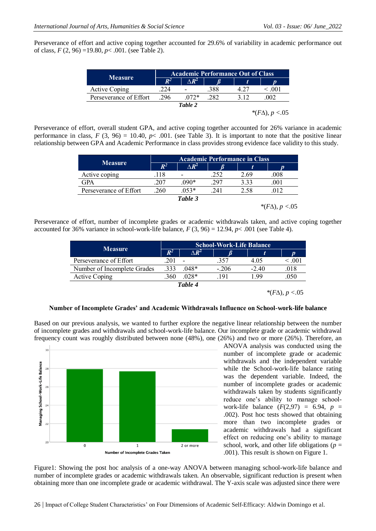Perseverance of effort and active coping together accounted for 29.6% of variability in academic performance out of class, *F* (2, 96) =19.80, *p*< .001. (see Table 2).

| <b>Measure</b>         | <b>Academic Performance Out of Class</b> |              |      |                            |  |  |
|------------------------|------------------------------------------|--------------|------|----------------------------|--|--|
|                        | $R^2$                                    | $\wedge R^2$ |      |                            |  |  |
| Active Coping          | 224                                      |              | .388 | 4.27                       |  |  |
| Perseverance of Effort | .296                                     | $072*$       | 282  | 312                        |  |  |
| Table 2                |                                          |              |      |                            |  |  |
|                        |                                          |              |      | * $(F\Delta)$ , $p < 0.05$ |  |  |

Perseverance of effort, overall student GPA, and active coping together accounted for 26% variance in academic performance in class,  $F(3, 96) = 10.40$ ,  $p< .001$ . (see Table 3). It is important to note that the positive linear relationship between GPA and Academic Performance in class provides strong evidence face validity to this study.

| <b>Measure</b>         | <b>Academic Performance in Class</b> |                 |      |      |      |  |
|------------------------|--------------------------------------|-----------------|------|------|------|--|
|                        | $\mathbb{R}^2$                       | $\triangle R^2$ |      |      |      |  |
| Active coping          | .118                                 |                 | .252 | 2.69 | 008  |  |
| GPA                    | 207                                  | $.090*$         | .297 | 3.33 | .001 |  |
| Perseverance of Effort | 260                                  | $.053*$         | 241  | 2.58 | 012  |  |
|                        |                                      | Table 3         |      |      |      |  |

 $*(F\Delta), p < .05$ 

Perseverance of effort, number of incomplete grades or academic withdrawals taken, and active coping together accounted for 36% variance in school-work-life balance,  $F(3, 96) = 12.94$ ,  $p < .001$  (see Table 4).

| <b>Measure</b>              | <b>School-Work-Life Balance</b> |                          |        |         |        |  |
|-----------------------------|---------------------------------|--------------------------|--------|---------|--------|--|
|                             | $\bm{R}^2$                      | $\wedge R^2$             |        |         |        |  |
| Perseverance of Effort      | 201                             | $\overline{\phantom{a}}$ | .357   | 4.05    | < 0.01 |  |
| Number of Incomplete Grades | .333                            | $.048*$                  | $-206$ | $-2.40$ | .018   |  |
| <b>Active Coping</b>        | 360                             | $.028*$                  | 191    | -99     | .050   |  |
| Table 4                     |                                 |                          |        |         |        |  |

 $*(F\Delta), p < .05$ 

#### **Number of Incomplete Grades' and Academic Withdrawals Influence on School-work-life balance**

Based on our previous analysis, we wanted to further explore the negative linear relationship between the number of incomplete grades and withdrawals and school-work-life balance. Our incomplete grade or academic withdrawal frequency count was roughly distributed between none (48%), one (26%) and two or more (26%). Therefore, an



ANOVA analysis was conducted using the number of incomplete grade or academic withdrawals and the independent variable while the School-work-life balance rating was the dependent variable. Indeed, the number of incomplete grades or academic withdrawals taken by students significantly reduce one's ability to manage schoolwork-life balance  $(F(2, 97) = 6.94, p =$ .002). Post hoc tests showed that obtaining more than two incomplete grades or academic withdrawals had a significant effect on reducing one's ability to manage school, work, and other life obligations (*p* = .001). This result is shown on Figure 1.

Figure1: Showing the post hoc analysis of a one-way ANOVA between managing school-work-life balance and number of incomplete grades or academic withdrawals taken. An observable, significant reduction is present when obtaining more than one incomplete grade or academic withdrawal. The Y-axis scale was adjusted since there were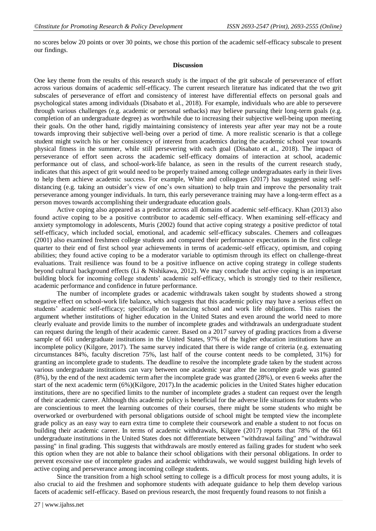no scores below 20 points or over 30 points, we chose this portion of the academic self-efficacy subscale to present our findings.

## **Discussion**

One key theme from the results of this research study is the impact of the grit subscale of perseverance of effort across various domains of academic self-efficacy. The current research literature has indicated that the two grit subscales of perseverance of effort and consistency of interest have differential effects on personal goals and psychological states among individuals (Disabato et al., 2018). For example, individuals who are able to persevere through various challenges (e.g. academic or personal setbacks) may believe pursuing their long-term goals (e.g. completion of an undergraduate degree) as worthwhile due to increasing their subjective well-being upon meeting their goals. On the other hand, rigidly maintaining consistency of interests year after year may not be a route towards improving their subjective well-being over a period of time. A more realistic scenario is that a college student might switch his or her consistency of interest from academics during the academic school year towards physical fitness in the summer, while still persevering with each goal (Disabato et al., 2018). The impact of perseverance of effort seen across the academic self-efficacy domains of interaction at school, academic performance out of class, and school-work-life balance, as seen in the results of the current research study, indicates that this aspect of grit would need to be properly trained among college undergraduates early in their lives to help them achieve academic success. For example, White and colleagues (2017) has suggested using selfdistancing (e.g. taking an outsider's view of one's own situation) to help train and improve the personality trait perseverance among younger individuals. In turn, this early perseverance training may have a long-term effect as a person moves towards accomplishing their undergraduate education goals.

Active coping also appeared as a predictor across all domains of academic self-efficacy. Khan (2013) also found active coping to be a positive contributor to academic self-efficacy. When examining self-efficacy and anxiety symptomology in adolescents, Muris (2002) found that active coping strategy a positive predictor of total self-efficacy, which included social, emotional, and academic self-efficacy subscales. Chemers and colleagues (2001) also examined freshmen college students and compared their performance expectations in the first college quarter to their end of first school year achievements in terms of academic-self efficacy, optimism, and coping abilities; they found active coping to be a moderator variable to optimism through its effect on challenge-threat evaluations. Trait resilience was found to be a positive influence on active coping strategy in college students beyond cultural background effects (Li & Nishikawa, 2012). We may conclude that active coping is an important building block for incoming college students' academic self-efficacy, which is strongly tied to their resilience, academic performance and confidence in future performance.

The number of incomplete grades or academic withdrawals taken sought by students showed a strong negative effect on school-work life balance, which suggests that this academic policy may have a serious effect on students' academic self-efficacy; specifically on balancing school and work life obligations. This raises the argument whether institutions of higher education in the United States and even around the world need to more clearly evaluate and provide limits to the number of incomplete grades and withdrawals an undergraduate student can request during the length of their academic career. Based on a 2017 survey of grading practices from a diverse sample of 661 undergraduate institutions in the United States, 97% of the higher education institutions have an incomplete policy (Kilgore, 2017). The same survey indicated that there is wide range of criteria (e.g. extenuating circumstances 84%, faculty discretion 75%, last half of the course content needs to be completed, 31%) for granting an incomplete grade to students. The deadline to resolve the incomplete grade taken by the student across various undergraduate institutions can vary between one academic year after the incomplete grade was granted (8%), by the end of the next academic term after the incomplete grade was granted (28%), or even 6 weeks after the start of the next academic term (6%)(Kilgore, 2017).In the academic policies in the United States higher education institutions, there are no specified limits to the number of incomplete grades a student can request over the length of their academic career. Although this academic policy is beneficial for the adverse life situations for students who are conscientious to meet the learning outcomes of their courses, there might be some students who might be overworked or overburdened with personal obligations outside of school might be tempted view the incomplete grade policy as an easy way to earn extra time to complete their coursework and enable a student to not focus on building their academic career. In terms of academic withdrawals, Kilgore (2017) reports that 78% of the 661 undergraduate institutions in the United States does not differentiate between "withdrawal failing" and "withdrawal passing" in final grading. This suggests that withdrawals are mostly entered as failing grades for student who seek this option when they are not able to balance their school obligations with their personal obligations. In order to prevent excessive use of incomplete grades and academic withdrawals, we would suggest building high levels of active coping and perseverance among incoming college students.

Since the transition from a high school setting to college is a difficult process for most young adults, it is also crucial to aid the freshmen and sophomore students with adequate guidance to help them develop various facets of academic self-efficacy. Based on previous research, the most frequently found reasons to not finish a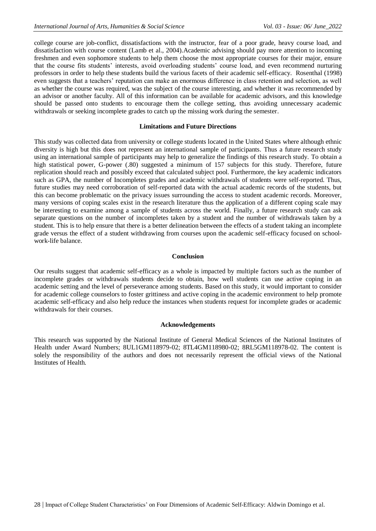college course are job-conflict, dissatisfactions with the instructor, fear of a poor grade, heavy course load, and dissatisfaction with course content (Lamb et al., 2004).Academic advising should pay more attention to incoming freshmen and even sophomore students to help them choose the most appropriate courses for their major, ensure that the course fits students' interests, avoid overloading students' course load, and even recommend nurturing professors in order to help these students build the various facets of their academic self-efficacy. Rosenthal (1998) even suggests that a teachers' reputation can make an enormous difference in class retention and selection, as well as whether the course was required, was the subject of the course interesting, and whether it was recommended by an advisor or another faculty. All of this information can be available for academic advisors, and this knowledge should be passed onto students to encourage them the college setting, thus avoiding unnecessary academic withdrawals or seeking incomplete grades to catch up the missing work during the semester.

#### **Limitations and Future Directions**

This study was collected data from university or college students located in the United States where although ethnic diversity is high but this does not represent an international sample of participants. Thus a future research study using an international sample of participants may help to generalize the findings of this research study. To obtain a high statistical power, G-power (.80) suggested a minimum of 157 subjects for this study. Therefore, future replication should reach and possibly exceed that calculated subject pool. Furthermore, the key academic indicators such as GPA, the number of Incompletes grades and academic withdrawals of students were self-reported. Thus, future studies may need corroboration of self-reported data with the actual academic records of the students, but this can become problematic on the privacy issues surrounding the access to student academic records. Moreover, many versions of coping scales exist in the research literature thus the application of a different coping scale may be interesting to examine among a sample of students across the world. Finally, a future research study can ask separate questions on the number of incompletes taken by a student and the number of withdrawals taken by a student. This is to help ensure that there is a better delineation between the effects of a student taking an incomplete grade versus the effect of a student withdrawing from courses upon the academic self-efficacy focused on schoolwork-life balance.

#### **Conclusion**

Our results suggest that academic self-efficacy as a whole is impacted by multiple factors such as the number of incomplete grades or withdrawals students decide to obtain, how well students can use active coping in an academic setting and the level of perseverance among students. Based on this study, it would important to consider for academic college counselors to foster grittiness and active coping in the academic environment to help promote academic self-efficacy and also help reduce the instances when students request for incomplete grades or academic withdrawals for their courses.

#### **Acknowledgements**

This research was supported by the National Institute of General Medical Sciences of the National Institutes of Health under Award Numbers; 8UL1GM118979-02; 8TL4GM118980-02; 8RL5GM118978-02. The content is solely the responsibility of the authors and does not necessarily represent the official views of the National Institutes of Health.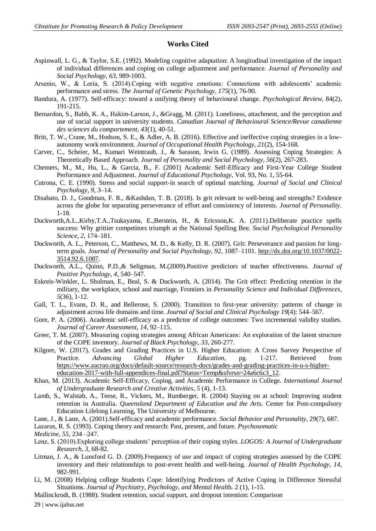## **Works Cited**

- Aspinwall, L. G., & Taylor, S.E. (1992). Modeling cognitive adaptation: A longitudinal investigation of the impact of individual differences and coping on college adjustment and performance. *Journal of Personality and Social Psychology, 63*, 989-1003.
- Arsenio, W., & Loria, S. (2014).Coping with negative emotions: Connections with adolescents' academic performance and stress. *The Journal of Genetic Psychology, 175*(1), 76-90.
- Bandura, A. (1977). Self-efficacy: toward a unifying theory of behavioural change. *Psychological Review,* 84(2), 191-215.
- Bernardon, S., Babb, K. A., Hakim-Larson, J., &Gragg, M. (2011). Loneliness, attachment, and the perception and use of social support in university students. *Canadian Journal of Behavioural Science/Revue canadienne des sciences du comportement, 43*(1), 40-51.
- Britt, T. W., Crane, M., Hodson, S. E., & Adler, A. B. (2016). Effective and ineffective coping strategies in a lowautonomy work environment. *Journal of Occupational Health Psychology, 21*(2), 154-168.
- Carver, C., Scheier, M., Kumari Weintraub, J., & Sarason, Irwin G. (1989). Assessing Coping Strategies: A Theoretically Based Approach. *Journal of Personality and Social Psychology, 56*(2), 267-283.
- Chemers, M., M., Hu, L., & Garcia, B., F. (2001) Academic Self-Efficacy and First-Year College Student Performance and Adjustment. *Journal of Educational Psychology*, Vol. 93, No. 1, 55-64.
- Cutrona, C. E. (1990). Stress and social support-in search of optimal matching. *Journal of Social and Clinical Psychology*, *9,* 3–14.
- Disabato, D. J., Goodman, F. R., &Kashdan, T. B. (2018). Is grit relevant to well-being and strengths? Evidence across the globe for separating perseverance of effort and consistency of interests. *Journal of Personality.* 1-18.
- Duckworth,A.L.,Kirby,T.A.,Tsukayama, E.,Berstein, H., & Ericsson,K. A. (2011).Deliberate practice spells success: Why grittier competitors triumph at the National Spelling Bee. *Social Psychological Personality Science*, *2,* 174–181.
- Duckworth, A. L., Peterson, C., Matthews, M. D., & Kelly, D. R. (2007). Grit: Perseverance and passion for longterm goals. *Journal of Personality and Social Psychology, 92,* 1087–1101. [http://dx.doi.org/10.1037/0022-](http://dx.doi.org/10.1037/0022-3514.92.6.1087) [3514.92.6.1087.](http://dx.doi.org/10.1037/0022-3514.92.6.1087)
- Duckworth, A.L., Quinn, P.D.,& Seligman, M.(2009).Positive predictors of teacher effectiveness. *Journal of Positive Psychology, 4,* 540–547.
- Eskreis-Winkler, L. Shulman, E., Beal, S. & Duckworth, A. (2014). The Grit effect: Predicting retention in the military, the workplace, school and marriage, Frontiers in *Personality Science and Individual Differences*, *5*(36), 1-12.
- Gall, T. L., Evans, D. R., and Bellerose, S. (2000). Transition to first-year university: patterns of change in adjustment across life domains and time. *Journal of Social and Clinical Psychology 19*(4): 544–567.
- Gore, P. A. (2006). Academic self-efficacy as a predictor of college outcomes: Two incremental validity studies. *Journal of Career Assessment, 14,* 92–115.
- Greer, T. M. (2007). Measuring coping strategies among African Americans: An exploration of the latent structure of the COPE inventory. *Journal of Black Psychology, 33*, 260-277.
- Kilgore, W. (2017). Grades and Grading Practices in U.S. Higher Education: A Cross Survey Perspective of Practice. *Advancing Global Higher Education,* pg. 1-217. Retrieved from [https://www.aacrao.org/docs/default-source/research-docs/grades-and-grading-practices-in-u-s-higher](https://www.aacrao.org/docs/default-source/research-docs/grades-and-grading-practices-in-u-s-higher-education-2017-with-full-appendices-final.pdf?Status=Temp&sfvrsn=24a6c6c3_12)[education-2017-with-full-appendices-final.pdf?Status=Temp&sfvrsn=24a6c6c3\\_12.](https://www.aacrao.org/docs/default-source/research-docs/grades-and-grading-practices-in-u-s-higher-education-2017-with-full-appendices-final.pdf?Status=Temp&sfvrsn=24a6c6c3_12)
- Khan, M. (2013). Academic Self-Efficacy, Coping, and Academic Performance in College. *International Journal of Undergraduate Research and Creative Activities*, *5* (4), 1-13.
- Lamb, S., Walstab, A., Teese, R., Vickers, M., Rumberger, R. (2004) Staying on at school: Improving student retention in Australia. *Queensland Department of Education and the Arts.* Center for Post-compulsory Education Lifelong Learning, The University of Melbourne.
- Lane, J., & Lane, A. (2001).Self-efficacy and academic performance. *Social Behavior and Personality,* 29(7), 687.
- Lazarus, R. S. (1993). Coping theory and research: Past, present, and future. *Psychosomatic*

*Medicine, 55*, 234 –247.

- Lenz, S. (2010).Exploring college students' perception of their coping styles. *LOGOS: A Journal of Undergraduate Research*, *3,* 68-82.
- Litman, J. A., & Lunsford G. D. (2009).Frequency of use and impact of coping strategies assessed by the COPE inventory and their relationships to post-event health and well-being. *Journal of Health Psychology, 14*, 982-991.
- Li, M. (2008) Helping college Students Cope: Identifying Predictors of Active Coping in Difference Stressful Situations. *Journal of Psychiatry, Psychology, and Mental Healt*h. 2 (1), 1-15.

Mallinckrodt, B. (1988). Student retention, social support, and dropout intention: Comparison